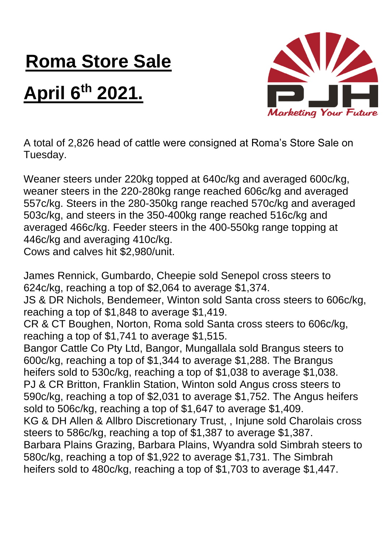## **Roma Store Sale**

## **April 6 th 2021.**



A total of 2,826 head of cattle were consigned at Roma's Store Sale on Tuesday.

Weaner steers under 220kg topped at 640c/kg and averaged 600c/kg, weaner steers in the 220-280kg range reached 606c/kg and averaged 557c/kg. Steers in the 280-350kg range reached 570c/kg and averaged 503c/kg, and steers in the 350-400kg range reached 516c/kg and averaged 466c/kg. Feeder steers in the 400-550kg range topping at 446c/kg and averaging 410c/kg. Cows and calves hit \$2,980/unit.

James Rennick, Gumbardo, Cheepie sold Senepol cross steers to 624c/kg, reaching a top of \$2,064 to average \$1,374. JS & DR Nichols, Bendemeer, Winton sold Santa cross steers to 606c/kg, reaching a top of \$1,848 to average \$1,419. CR & CT Boughen, Norton, Roma sold Santa cross steers to 606c/kg, reaching a top of \$1,741 to average \$1,515. Bangor Cattle Co Pty Ltd, Bangor, Mungallala sold Brangus steers to 600c/kg, reaching a top of \$1,344 to average \$1,288. The Brangus heifers sold to 530c/kg, reaching a top of \$1,038 to average \$1,038. PJ & CR Britton, Franklin Station, Winton sold Angus cross steers to 590c/kg, reaching a top of \$2,031 to average \$1,752. The Angus heifers sold to 506c/kg, reaching a top of \$1,647 to average \$1,409. KG & DH Allen & Allbro Discretionary Trust, , Injune sold Charolais cross steers to 586c/kg, reaching a top of \$1,387 to average \$1,387. Barbara Plains Grazing, Barbara Plains, Wyandra sold Simbrah steers to 580c/kg, reaching a top of \$1,922 to average \$1,731. The Simbrah heifers sold to 480c/kg, reaching a top of \$1,703 to average \$1,447.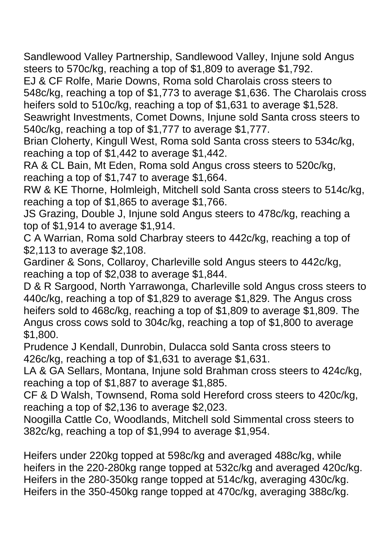Sandlewood Valley Partnership, Sandlewood Valley, Injune sold Angus steers to 570c/kg, reaching a top of \$1,809 to average \$1,792.

EJ & CF Rolfe, Marie Downs, Roma sold Charolais cross steers to 548c/kg, reaching a top of \$1,773 to average \$1,636. The Charolais cross heifers sold to 510c/kg, reaching a top of \$1,631 to average \$1,528. Seawright Investments, Comet Downs, Injune sold Santa cross steers to 540c/kg, reaching a top of \$1,777 to average \$1,777.

Brian Cloherty, Kingull West, Roma sold Santa cross steers to 534c/kg, reaching a top of \$1,442 to average \$1,442.

RA & CL Bain, Mt Eden, Roma sold Angus cross steers to 520c/kg, reaching a top of \$1,747 to average \$1,664.

RW & KE Thorne, Holmleigh, Mitchell sold Santa cross steers to 514c/kg, reaching a top of \$1,865 to average \$1,766.

JS Grazing, Double J, Injune sold Angus steers to 478c/kg, reaching a top of \$1,914 to average \$1,914.

C A Warrian, Roma sold Charbray steers to 442c/kg, reaching a top of \$2,113 to average \$2,108.

Gardiner & Sons, Collaroy, Charleville sold Angus steers to 442c/kg, reaching a top of \$2,038 to average \$1,844.

D & R Sargood, North Yarrawonga, Charleville sold Angus cross steers to 440c/kg, reaching a top of \$1,829 to average \$1,829. The Angus cross heifers sold to 468c/kg, reaching a top of \$1,809 to average \$1,809. The Angus cross cows sold to 304c/kg, reaching a top of \$1,800 to average \$1,800.

Prudence J Kendall, Dunrobin, Dulacca sold Santa cross steers to 426c/kg, reaching a top of \$1,631 to average \$1,631.

LA & GA Sellars, Montana, Injune sold Brahman cross steers to 424c/kg, reaching a top of \$1,887 to average \$1,885.

CF & D Walsh, Townsend, Roma sold Hereford cross steers to 420c/kg, reaching a top of \$2,136 to average \$2,023.

Noogilla Cattle Co, Woodlands, Mitchell sold Simmental cross steers to 382c/kg, reaching a top of \$1,994 to average \$1,954.

Heifers under 220kg topped at 598c/kg and averaged 488c/kg, while heifers in the 220-280kg range topped at 532c/kg and averaged 420c/kg. Heifers in the 280-350kg range topped at 514c/kg, averaging 430c/kg. Heifers in the 350-450kg range topped at 470c/kg, averaging 388c/kg.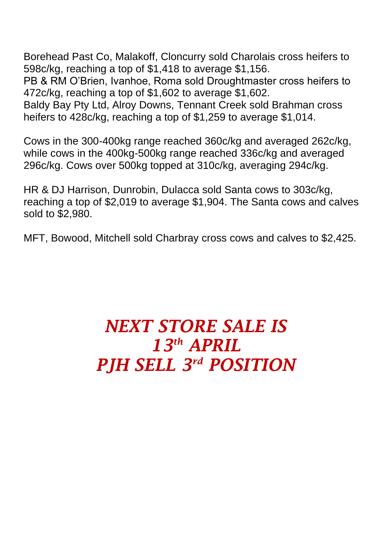Borehead Past Co, Malakoff, Cloncurry sold Charolais cross heifers to 598c/kg, reaching a top of \$1,418 to average \$1,156.

PB & RM O'Brien, Ivanhoe, Roma sold Droughtmaster cross heifers to 472c/kg, reaching a top of \$1,602 to average \$1,602.

Baldy Bay Pty Ltd, Alroy Downs, Tennant Creek sold Brahman cross heifers to 428c/kg, reaching a top of \$1,259 to average \$1,014.

Cows in the 300-400kg range reached 360c/kg and averaged 262c/kg, while cows in the 400kg-500kg range reached 336c/kg and averaged 296c/kg. Cows over 500kg topped at 310c/kg, averaging 294c/kg.

HR & DJ Harrison, Dunrobin, Dulacca sold Santa cows to 303c/kg, reaching a top of \$2,019 to average \$1,904. The Santa cows and calves sold to \$2,980.

MFT, Bowood, Mitchell sold Charbray cross cows and calves to \$2,425.

## *NEXT STORE SALE IS 13 th APRIL PJH SELL 3 rd POSITION*